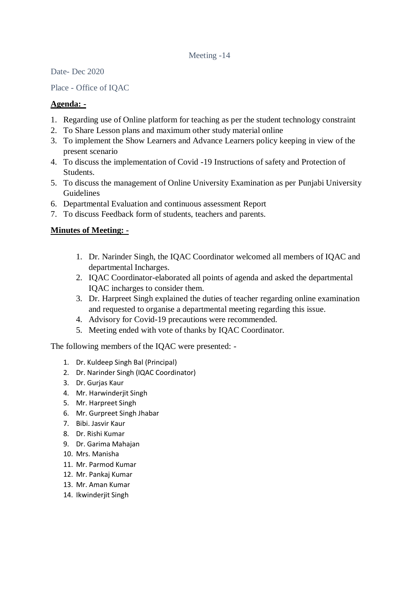## Meeting -14

Date- Dec 2020

Place - Office of IQAC

## **Agenda: -**

- 1. Regarding use of Online platform for teaching as per the student technology constraint
- 2. To Share Lesson plans and maximum other study material online
- 3. To implement the Show Learners and Advance Learners policy keeping in view of the present scenario
- 4. To discuss the implementation of Covid -19 Instructions of safety and Protection of Students.
- 5. To discuss the management of Online University Examination as per Punjabi University Guidelines
- 6. Departmental Evaluation and continuous assessment Report
- 7. To discuss Feedback form of students, teachers and parents.

## **Minutes of Meeting: -**

- 1. Dr. Narinder Singh, the IQAC Coordinator welcomed all members of IQAC and departmental Incharges.
- 2. IQAC Coordinator-elaborated all points of agenda and asked the departmental IQAC incharges to consider them.
- 3. Dr. Harpreet Singh explained the duties of teacher regarding online examination and requested to organise a departmental meeting regarding this issue.
- 4. Advisory for Covid-19 precautions were recommended.
- 5. Meeting ended with vote of thanks by IQAC Coordinator.

The following members of the IQAC were presented: -

- 1. Dr. Kuldeep Singh Bal (Principal)
- 2. Dr. Narinder Singh (IQAC Coordinator)
- 3. Dr. Gurjas Kaur
- 4. Mr. Harwinderjit Singh
- 5. Mr. Harpreet Singh
- 6. Mr. Gurpreet Singh Jhabar
- 7. Bibi. Jasvir Kaur
- 8. Dr. Rishi Kumar
- 9. Dr. Garima Mahajan
- 10. Mrs. Manisha
- 11. Mr. Parmod Kumar
- 12. Mr. Pankaj Kumar
- 13. Mr. Aman Kumar
- 14. Ikwinderjit Singh